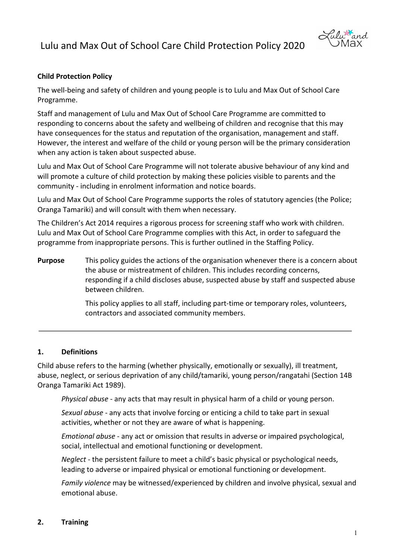

### **Child Protection Policy**

The well-being and safety of children and young people is to Lulu and Max Out of School Care Programme.

Staff and management of Lulu and Max Out of School Care Programme are committed to responding to concerns about the safety and wellbeing of children and recognise that this may have consequences for the status and reputation of the organisation, management and staff. However, the interest and welfare of the child or young person will be the primary consideration when any action is taken about suspected abuse.

Lulu and Max Out of School Care Programme will not tolerate abusive behaviour of any kind and will promote a culture of child protection by making these policies visible to parents and the community - including in enrolment information and notice boards.

Lulu and Max Out of School Care Programme supports the roles of statutory agencies (the Police; Oranga Tamariki) and will consult with them when necessary.

The Children's Act 2014 requires a rigorous process for screening staff who work with children. Lulu and Max Out of School Care Programme complies with this Act, in order to safeguard the programme from inappropriate persons. This is further outlined in the Staffing Policy.

**Purpose** This policy guides the actions of the organisation whenever there is a concern about the abuse or mistreatment of children. This includes recording concerns, responding if a child discloses abuse, suspected abuse by staff and suspected abuse between children.

> This policy applies to all staff, including part-time or temporary roles, volunteers, contractors and associated community members.

#### **1. Definitions**

Child abuse refers to the harming (whether physically, emotionally or sexually), ill treatment, abuse, neglect, or serious deprivation of any child/tamariki, young person/rangatahi (Section 14B Oranga Tamariki Act 1989).

*Physical abuse* - any acts that may result in physical harm of a child or young person.

*Sexual abuse* - any acts that involve forcing or enticing a child to take part in sexual activities, whether or not they are aware of what is happening.

*Emotional abuse* - any act or omission that results in adverse or impaired psychological, social, intellectual and emotional functioning or development.

*Neglect* - the persistent failure to meet a child's basic physical or psychological needs, leading to adverse or impaired physical or emotional functioning or development.

*Family violence* may be witnessed/experienced by children and involve physical, sexual and emotional abuse.

#### **2. Training**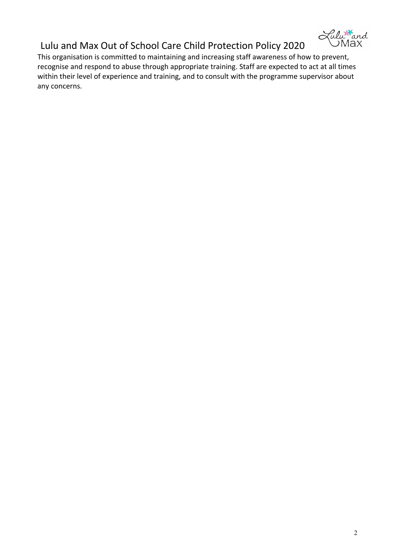

This organisation is committed to maintaining and increasing staff awareness of how to prevent, recognise and respond to abuse through appropriate training. Staff are expected to act at all times within their level of experience and training, and to consult with the programme supervisor about any concerns.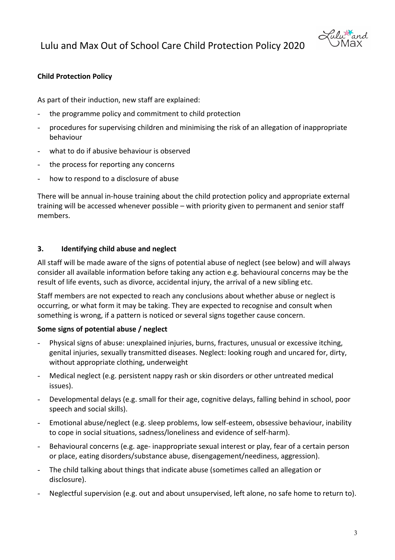



## **Child Protection Policy**

As part of their induction, new staff are explained:

- the programme policy and commitment to child protection
- procedures for supervising children and minimising the risk of an allegation of inappropriate behaviour
- what to do if abusive behaviour is observed
- the process for reporting any concerns
- how to respond to a disclosure of abuse

There will be annual in-house training about the child protection policy and appropriate external training will be accessed whenever possible – with priority given to permanent and senior staff members.

#### **3. Identifying child abuse and neglect**

All staff will be made aware of the signs of potential abuse of neglect (see below) and will always consider all available information before taking any action e.g. behavioural concerns may be the result of life events, such as divorce, accidental injury, the arrival of a new sibling etc.

Staff members are not expected to reach any conclusions about whether abuse or neglect is occurring, or what form it may be taking. They are expected to recognise and consult when something is wrong, if a pattern is noticed or several signs together cause concern.

### **Some signs of potential abuse / neglect**

- Physical signs of abuse: unexplained injuries, burns, fractures, unusual or excessive itching, genital injuries, sexually transmitted diseases. Neglect: looking rough and uncared for, dirty, without appropriate clothing, underweight
- Medical neglect (e.g. persistent nappy rash or skin disorders or other untreated medical issues).
- Developmental delays (e.g. small for their age, cognitive delays, falling behind in school, poor speech and social skills).
- Emotional abuse/neglect (e.g. sleep problems, low self-esteem, obsessive behaviour, inability to cope in social situations, sadness/loneliness and evidence of self-harm).
- Behavioural concerns (e.g. age- inappropriate sexual interest or play, fear of a certain person or place, eating disorders/substance abuse, disengagement/neediness, aggression).
- The child talking about things that indicate abuse (sometimes called an allegation or disclosure).
- Neglectful supervision (e.g. out and about unsupervised, left alone, no safe home to return to).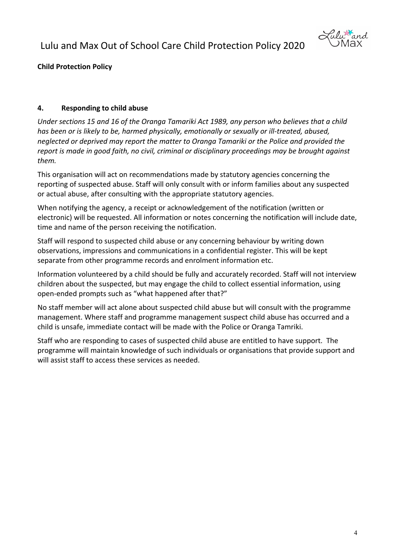

**Child Protection Policy** 

## **4. Responding to child abuse**

*Under sections 15 and 16 of the Oranga Tamariki Act 1989, any person who believes that a child has been or is likely to be, harmed physically, emotionally or sexually or ill-treated, abused, neglected or deprived may report the matter to Oranga Tamariki or the Police and provided the report is made in good faith, no civil, criminal or disciplinary proceedings may be brought against them.*

This organisation will act on recommendations made by statutory agencies concerning the reporting of suspected abuse. Staff will only consult with or inform families about any suspected or actual abuse, after consulting with the appropriate statutory agencies.

When notifying the agency, a receipt or acknowledgement of the notification (written or electronic) will be requested. All information or notes concerning the notification will include date, time and name of the person receiving the notification.

Staff will respond to suspected child abuse or any concerning behaviour by writing down observations, impressions and communications in a confidential register. This will be kept separate from other programme records and enrolment information etc.

Information volunteered by a child should be fully and accurately recorded. Staff will not interview children about the suspected, but may engage the child to collect essential information, using open-ended prompts such as "what happened after that?"

No staff member will act alone about suspected child abuse but will consult with the programme management. Where staff and programme management suspect child abuse has occurred and a child is unsafe, immediate contact will be made with the Police or Oranga Tamriki.

Staff who are responding to cases of suspected child abuse are entitled to have support. The programme will maintain knowledge of such individuals or organisations that provide support and will assist staff to access these services as needed.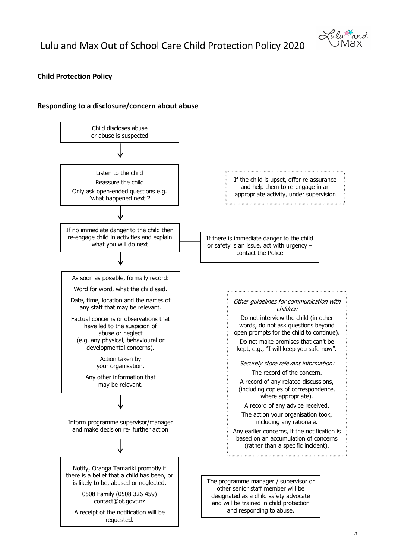

#### **Child Protection Policy**

#### **Responding to a disclosure/concern about abuse**

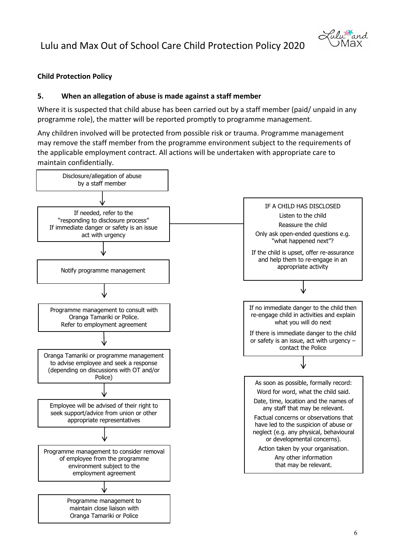

### **Child Protection Policy**

#### **5. When an allegation of abuse is made against a staff member**

Where it is suspected that child abuse has been carried out by a staff member (paid/ unpaid in any programme role), the matter will be reported promptly to programme management.

Any children involved will be protected from possible risk or trauma. Programme management may remove the staff member from the programme environment subject to the requirements of the applicable employment contract. All actions will be undertaken with appropriate care to maintain confidentially.

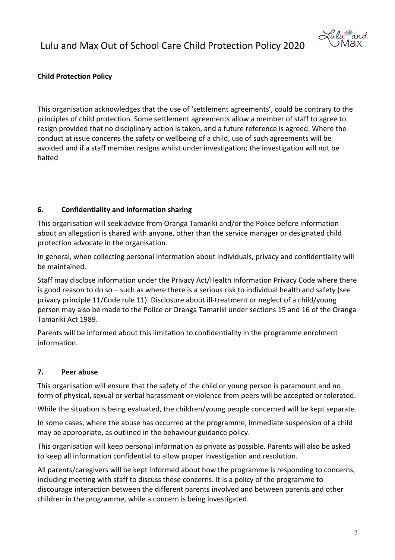

### **Child Protection Policy**

This organisation acknowledges that the use of 'settlement agreements', could be contrary to the principles of child protection. Some settlement agreements allow a member of staff to agree to resign provided that no disciplinary action is taken, and a future reference is agreed. Where the conduct at issue concerns the safety or wellbeing of a child, use of such agreements will be avoided and if a staff member resigns whilst under investigation; the investigation will not be halted

#### **6. Confidentiality and information sharing**

This organisation will seek advice from Oranga Tamariki and/or the Police before information about an allegation is shared with anyone, other than the service manager or designated child protection advocate in the organisation.

In general, when collecting personal information about individuals, privacy and confidentiality will be maintained.

Staff may disclose information under the Privacy Act/Health Information Privacy Code where there is good reason to do so – such as where there is a serious risk to individual health and safety (see privacy principle 11/Code rule 11). Disclosure about ill-treatment or neglect of a child/young person may also be made to the Police or Oranga Tamariki under sections 15 and 16 of the Oranga Tamariki Act 1989.

Parents will be informed about this limitation to confidentiality in the programme enrolment information.

#### **7. Peer abuse**

This organisation will ensure that the safety of the child or young person is paramount and no form of physical, sexual or verbal harassment or violence from peers will be accepted or tolerated.

While the situation is being evaluated, the children/young people concerned will be kept separate.

In some cases, where the abuse has occurred at the programme, immediate suspension of a child may be appropriate, as outlined in the behaviour guidance policy.

This organisation will keep personal information as private as possible. Parents will also be asked to keep all information confidential to allow proper investigation and resolution.

All parents/caregivers will be kept informed about how the programme is responding to concerns, including meeting with staff to discuss these concerns. It is a policy of the programme to discourage interaction between the different parents involved and between parents and other children in the programme, while a concern is being investigated.